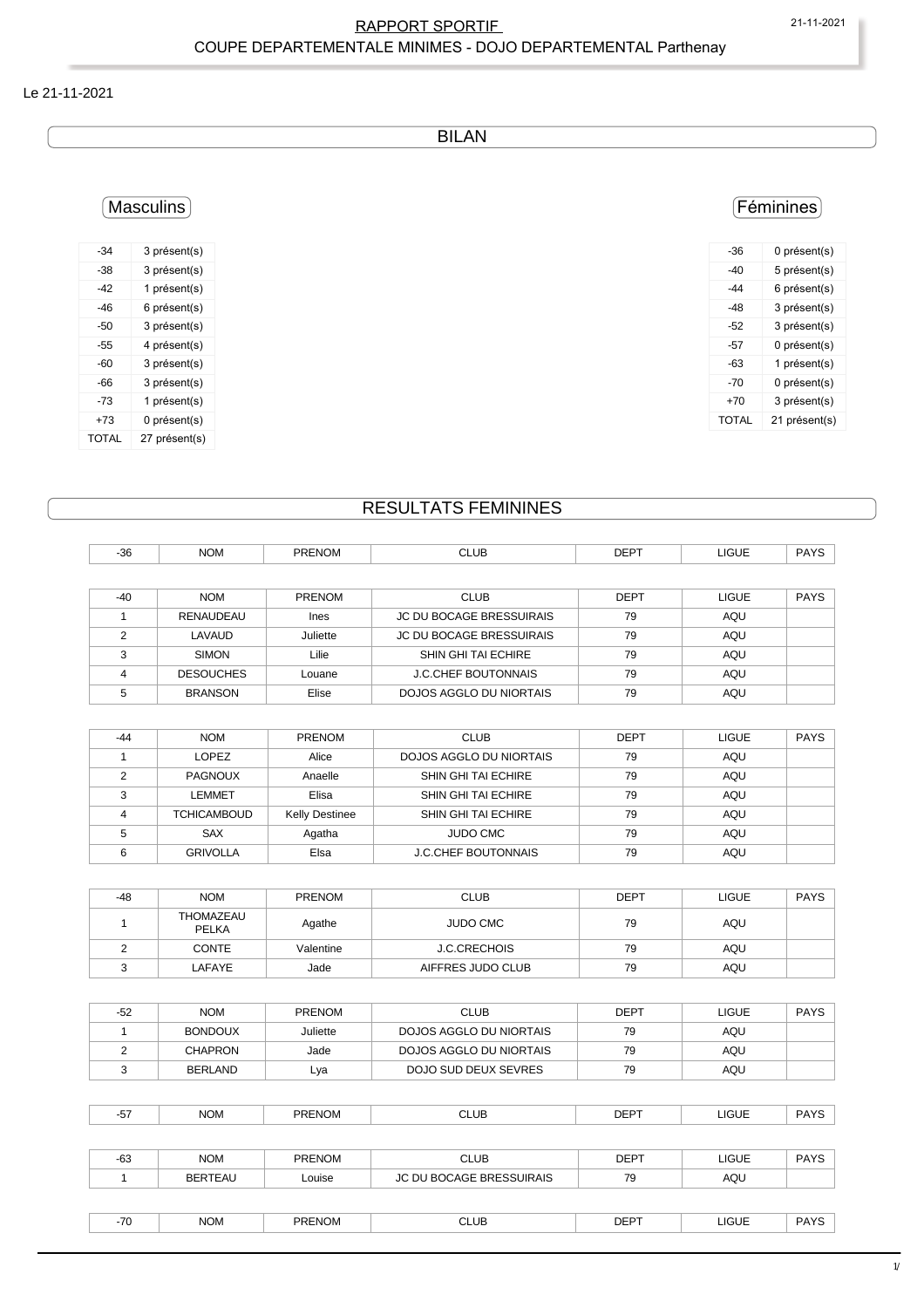#### RAPPORT SPORTIF 21-11-2021 COUPE DEPARTEMENTALE MINIMES - DOJO DEPARTEMENTAL Parthenay

#### Le 21-11-2021

BILAN

# Masculins

| -34   | 3 présent(s)  |
|-------|---------------|
| -38   | 3 présent(s)  |
| -42   | 1 présent(s)  |
| -46   | 6 présent(s)  |
| -50   | 3 présent(s)  |
| -55   | 4 présent(s)  |
| -60   | 3 présent(s)  |
| -66   | 3 présent(s)  |
| -73   | 1 présent(s)  |
| +73   | 0 présent(s)  |
| TOTAL | 27 présent(s) |

### Féminines

| -36   | 0 présent(s)  |
|-------|---------------|
| -40   | 5 présent(s)  |
| -44   | 6 présent(s)  |
| -48   | 3 présent(s)  |
| -52   | 3 présent(s)  |
| -57   | 0 présent(s)  |
| -63   | 1 présent(s)  |
| -70   | 0 présent(s)  |
| +70   | 3 présent(s)  |
| TOTAL | 21 présent(s) |
|       |               |

# RESULTATS FEMININES

| $-36$ | <b>NOM</b>       | <b>PRENOM</b> | <b>CLUB</b>                     | <b>DEPT</b> | <b>LIGUE</b> | <b>PAYS</b> |
|-------|------------------|---------------|---------------------------------|-------------|--------------|-------------|
|       |                  |               |                                 |             |              |             |
| $-40$ | <b>NOM</b>       | <b>PRENOM</b> | <b>CLUB</b>                     | <b>DEPT</b> | <b>LIGUE</b> | <b>PAYS</b> |
|       | RENAUDEAU        | Ines          | <b>JC DU BOCAGE BRESSUIRAIS</b> | 79          | AQU          |             |
| C     | LAVAUD           | Juliette      | <b>JC DU BOCAGE BRESSUIRAIS</b> | 79          | <b>AQU</b>   |             |
| 3     | <b>SIMON</b>     | Lilie         | <b>SHIN GHI TAI ECHIRE</b>      | 79          | AQU          |             |
| 4     | <b>DESOUCHES</b> | Louane        | <b>J.C.CHEF BOUTONNAIS</b>      | 79          | AQU          |             |
| 5     | <b>BRANSON</b>   | Elise         | DOJOS AGGLO DU NIORTAIS         | 79          | AQU          |             |

| $-44$ | <b>NOM</b>         | <b>PRENOM</b>         | <b>CLUB</b>                | DEPT | <b>LIGUE</b> | <b>PAYS</b> |
|-------|--------------------|-----------------------|----------------------------|------|--------------|-------------|
|       | LOPEZ              | Alice                 | DOJOS AGGLO DU NIORTAIS    | 79   | AQU          |             |
|       | PAGNOUX            | Anaelle               | SHIN GHI TAI ECHIRE        | 79   | AQU          |             |
| ີ     | LEMMET             | Elisa                 | SHIN GHI TAI ECHIRE        | 79   | AQU          |             |
|       | <b>TCHICAMBOUD</b> | <b>Kelly Destinee</b> | SHIN GHI TAI ECHIRE        | 79   | AQU          |             |
|       | <b>SAX</b>         | Agatha                | <b>JUDO CMC</b>            | 79   | AQU          |             |
|       | <b>GRIVOLLA</b>    | Elsa                  | <b>J.C.CHEF BOUTONNAIS</b> | 79   | AQU          |             |

| $-48$ | <b>NOM</b>                | <b>PRENOM</b> | <b>CLUB</b>       | <b>DEPT</b> | LIGUE | <b>PAYS</b> |  |
|-------|---------------------------|---------------|-------------------|-------------|-------|-------------|--|
|       | THOMAZEAU<br><b>PELKA</b> | Agathe        | <b>JUDO CMC</b>   | 79          | AQU   |             |  |
|       | <b>CONTE</b>              | Valentine     | J.C.CRECHOIS      | 79          | AQU   |             |  |
| ັ     | LAFAYE                    | Jade          | AIFFRES JUDO CLUB | 79          | AQU   |             |  |

| -52 | <b>NOM</b>     | <b>PRENOM</b> | <b>CLUB</b>             | DEPT | LIGUE | <b>PAYS</b> |
|-----|----------------|---------------|-------------------------|------|-------|-------------|
|     | <b>BONDOUX</b> | Juliette      | DOJOS AGGLO DU NIORTAIS | 79   | AQU   |             |
|     | <b>CHAPRON</b> | Jade          | DOJOS AGGLO DU NIORTAIS | 79   | AQU   |             |
|     | <b>BERLAND</b> | Lya           | DOJO SUD DEUX SEVRES    | 79   | AQU   |             |

| -- | <b>NOM</b> | <b>PRENOM</b> | CLUB<br>$ -$ | <b>DEPT</b> | LIGUE<br>___ | <b>PAYS</b> |
|----|------------|---------------|--------------|-------------|--------------|-------------|
|    |            |               |              |             |              |             |

| $-63$ | <b>NOM</b> | <b>PRENOM</b> | <b>CLUB</b>              | <b>DEPT</b> | <b>LIGUE</b> | <b>PAYS</b> |
|-------|------------|---------------|--------------------------|-------------|--------------|-------------|
|       | BERTEAU    | Louise        | JC DU BOCAGE BRESSUIRAIS | 79          | AQU          |             |
|       |            |               |                          |             |              |             |
| $-70$ | <b>NOM</b> | <b>PRENOM</b> | <b>CLUB</b>              | <b>DEPT</b> | LIGUE        | <b>PAYS</b> |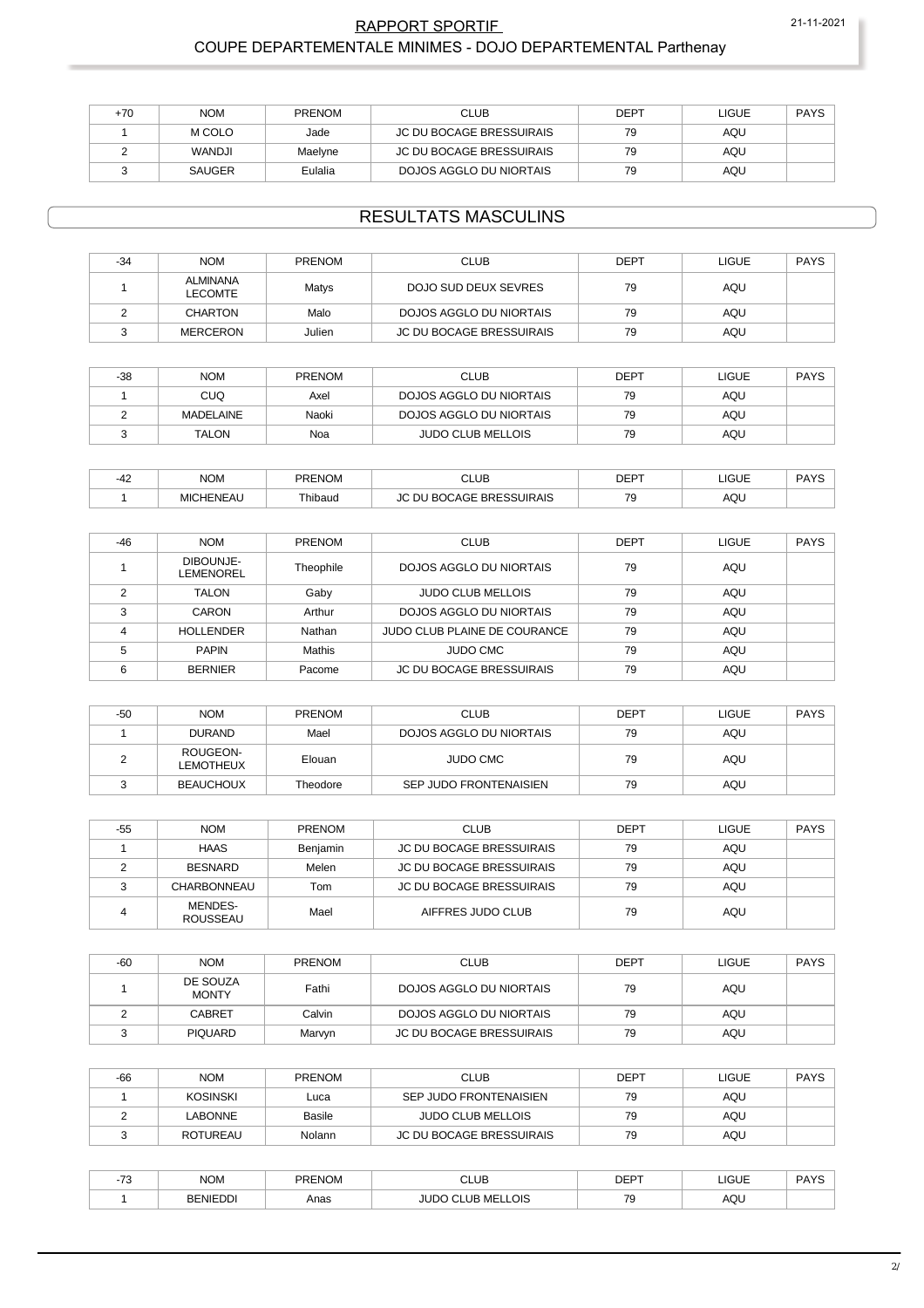#### RAPPORT SPORTIF 21-11-2021 COUPE DEPARTEMENTALE MINIMES - DOJO DEPARTEMENTAL Parthenay

| +70 | <b>NOM</b>    | <b>PRENOM</b> | <b>CLUB</b>              | <b>DEPT</b> | LIGUE | <b>PAYS</b> |
|-----|---------------|---------------|--------------------------|-------------|-------|-------------|
|     | M COLO        | Jade          | JC DU BOCAGE BRESSUIRAIS | 79          | AQU   |             |
|     | <b>WANDJI</b> | Maelyne       | JC DU BOCAGE BRESSUIRAIS | 79          | AQU   |             |
|     | <b>SAUGER</b> | Eulalia       | DOJOS AGGLO DU NIORTAIS  | 79          | AQU   |             |

#### RESULTATS MASCULINS

| $-34$ | <b>NOM</b>                        | PRENOM | <b>CLUB</b>                     | <b>DEPT</b> | LIGUE | <b>PAYS</b> |
|-------|-----------------------------------|--------|---------------------------------|-------------|-------|-------------|
|       | <b>ALMINANA</b><br><b>LECOMTE</b> | Matys  | DOJO SUD DEUX SEVRES            | 79          | AQU   |             |
|       | <b>CHARTON</b>                    | Malo   | DOJOS AGGLO DU NIORTAIS         | 79          | AQU   |             |
|       | <b>MERCERON</b>                   | Julien | <b>JC DU BOCAGE BRESSUIRAIS</b> | 79          | AQU   |             |

| $-38$ | <b>NOM</b>       | PRENOM | <b>CLUB</b>              | DEPT | LIGUE | <b>PAYS</b> |
|-------|------------------|--------|--------------------------|------|-------|-------------|
|       | <b>CUQ</b>       | Axel   | DOJOS AGGLO DU NIORTAIS  | 79   | AQU   |             |
|       | <b>MADELAINE</b> | Naoki  | DOJOS AGGLO DU NIORTAIS  | 79   | AQU   |             |
|       | TALON            | Noa    | <b>JUDO CLUB MELLOIS</b> | 79   | AQU   |             |

| $\overline{\phantom{a}}$ | <b>NOM</b>      | PRENOM<br>. | CLUB<br>$\sim$                       | <b>DEDT</b><br>◡∟ | 1011<br>-IUUE-          | DAYC<br><b>AIC</b> |
|--------------------------|-----------------|-------------|--------------------------------------|-------------------|-------------------------|--------------------|
|                          | CHENEAU<br>MIC. | ™hibaud     | SSUIRAIS<br><b>DD</b><br>----<br>55. | --<br>v<br>$\sim$ | $\wedge \wedge'$<br>nuc |                    |

| $-46$ | <b>NOM</b>             | <b>PRENOM</b> | <b>CLUB</b>                  | <b>DEPT</b> | <b>LIGUE</b> | <b>PAYS</b> |
|-------|------------------------|---------------|------------------------------|-------------|--------------|-------------|
|       | DIBOUNJE-<br>LEMENOREL | Theophile     | DOJOS AGGLO DU NIORTAIS      | 79          | AQU          |             |
|       | <b>TALON</b>           | Gaby          | <b>JUDO CLUB MELLOIS</b>     | 79          | AQU          |             |
|       | CARON                  | Arthur        | DOJOS AGGLO DU NIORTAIS      | 79          | AQU          |             |
|       | <b>HOLLENDER</b>       | Nathan        | JUDO CLUB PLAINE DE COURANCE | 79          | AQU          |             |
|       | <b>PAPIN</b>           | <b>Mathis</b> | <b>JUDO CMC</b>              | 79          | AQU          |             |
|       | <b>BERNIER</b>         | Pacome        | JC DU BOCAGE BRESSUIRAIS     | 79          | AQU          |             |

| $-50$ | <b>NOM</b>                   | <b>PRENOM</b> | <b>CLUB</b>             | <b>DEPT</b> | LIGUE | <b>PAYS</b> |
|-------|------------------------------|---------------|-------------------------|-------------|-------|-------------|
|       | <b>DURAND</b>                | Mael          | DOJOS AGGLO DU NIORTAIS | 79          | AQU   |             |
|       | ROUGEON-<br><b>LEMOTHEUX</b> | Elouan        | <b>JUDO CMC</b>         | 79          | AQU   |             |
|       | <b>BEAUCHOUX</b>             | Theodore      | SEP JUDO FRONTENAISIEN  | 79          | AQU   |             |

| -55 | <b>NOM</b>          | PRENOM   | <b>CLUB</b>                     | <b>DEPT</b> | <b>LIGUE</b> | <b>PAYS</b> |
|-----|---------------------|----------|---------------------------------|-------------|--------------|-------------|
|     | <b>HAAS</b>         | Benjamin | <b>JC DU BOCAGE BRESSUIRAIS</b> | 79          | AQU          |             |
|     | <b>BESNARD</b>      | Melen    | JC DU BOCAGE BRESSUIRAIS        | 79          | AQU          |             |
|     | CHARBONNEAU         | Tom      | JC DU BOCAGE BRESSUIRAIS        | 79          | AQU          |             |
|     | MENDES-<br>ROUSSEAU | Mael     | AIFFRES JUDO CLUB               | 79          | AQU          |             |

| -60 | <b>NOM</b>               | <b>PRENOM</b> | <b>CLUB</b>                     | <b>DEPT</b> | LIGUE | <b>PAYS</b> |
|-----|--------------------------|---------------|---------------------------------|-------------|-------|-------------|
|     | DE SOUZA<br><b>MONTY</b> | Fathi         | DOJOS AGGLO DU NIORTAIS         | 79          | AQU   |             |
|     | <b>CABRET</b>            | Calvin        | DOJOS AGGLO DU NIORTAIS         | 79          | AQU   |             |
|     | <b>PIQUARD</b>           | Marvvn        | <b>JC DU BOCAGE BRESSUIRAIS</b> | 79          | AQU   |             |

| $-66$ | <b>NOM</b>      | <b>PRENOM</b> | <b>CLUB</b>                     | <b>DEPT</b> | LIGUE | <b>PAYS</b> |
|-------|-----------------|---------------|---------------------------------|-------------|-------|-------------|
|       | KOSINSKI        | Luca          | SEP JUDO FRONTENAISIEN          | 79          | AQU   |             |
|       | LABONNE         | Basile        | JUDO CLUB MELLOIS               | 79          | AQU   |             |
|       | <b>ROTUREAU</b> | Nolann        | <b>JC DU BOCAGE BRESSUIRAIS</b> | 79          | AQU   |             |

| $\overline{\phantom{a}}$<br>ن 1- | <b>NOM</b><br>____ | PRENOM | <b>CLUB</b><br>___ | <b>DEPT</b> | LIGUE<br>____ | DAVC<br>′A Y د<br>_______ |
|----------------------------------|--------------------|--------|--------------------|-------------|---------------|---------------------------|
|                                  | <b>BENIEDDI</b>    | Anas   | MELLOIS<br>v       | 70          | AQL           |                           |